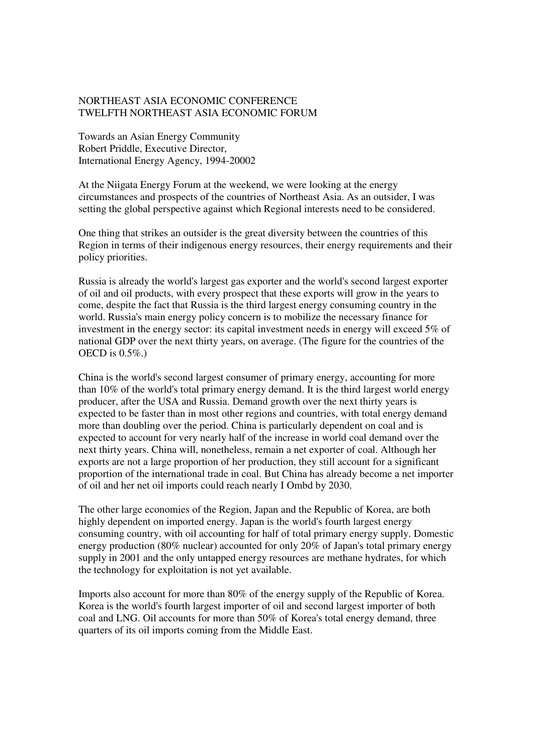## NORTHEAST ASIA ECONOMIC CONFERENCE TWELFTH NORTHEAST ASIA ECONOMIC FORUM

Towards an Asian Energy Community Robert Priddle, Executive Director, International Energy Agency, 1994-20002

At the Niigata Energy Forum at the weekend, we were looking at the energy circumstances and prospects of the countries of Northeast Asia. As an outsider, I was setting the global perspective against which Regional interests need to be considered.

One thing that strikes an outsider is the great diversity between the countries of this Region in terms of their indigenous energy resources, their energy requirements and their policy priorities.

Russia is already the world's largest gas exporter and the world's second largest exporter of oil and oil products, with every prospect that these exports will grow in the years to come, despite the fact that Russia is the third largest energy consuming country in the world. Russia's main energy policy concern is to mobilize the necessary finance for investment in the energy sector: its capital investment needs in energy will exceed 5% of national GDP over the next thirty years, on average. (The figure for the countries of the OECD is  $0.5\%$ .

China is the world's second largest consumer of primary energy, accounting for more than 10% of the world's total primary energy demand. It is the third largest world energy producer, after the USA and Russia. Demand growth over the next thirty years is expected to be faster than in most other regions and countries, with total energy demand more than doubling over the period. China is particularly dependent on coal and is expected to account for very nearly half of the increase in world coal demand over the next thirty years. China will, nonetheless, remain a net exporter of coal. Although her exports are not a large proportion of her production, they still account for a significant proportion of the international trade in coal. But China has already become a net importer of oil and her net oil imports could reach nearly I Ombd by 2030.

The other large economies of the Region, Japan and the Republic of Korea, are both highly dependent on imported energy. Japan is the world's fourth largest energy consuming country, with oil accounting for half of total primary energy supply. Domestic energy production (80% nuclear) accounted for only 20% of Japan's total primary energy supply in 2001 and the only untapped energy resources are methane hydrates, for which the technology for exploitation is not yet available.

Imports also account for more than 80% of the energy supply of the Republic of Korea. Korea is the world's fourth largest importer of oil and second largest importer of both coal and LNG. Oil accounts for more than 50% of Korea's total energy demand, three quarters of its oil imports coming from the Middle East.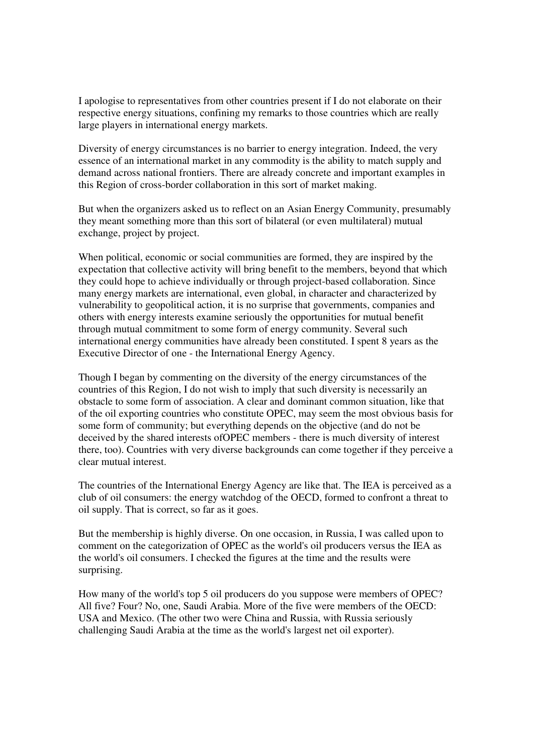I apologise to representatives from other countries present if I do not elaborate on their respective energy situations, confining my remarks to those countries which are really large players in international energy markets.

Diversity of energy circumstances is no barrier to energy integration. Indeed, the very essence of an international market in any commodity is the ability to match supply and demand across national frontiers. There are already concrete and important examples in this Region of cross-border collaboration in this sort of market making.

But when the organizers asked us to reflect on an Asian Energy Community, presumably they meant something more than this sort of bilateral (or even multilateral) mutual exchange, project by project.

When political, economic or social communities are formed, they are inspired by the expectation that collective activity will bring benefit to the members, beyond that which they could hope to achieve individually or through project-based collaboration. Since many energy markets are international, even global, in character and characterized by vulnerability to geopolitical action, it is no surprise that governments, companies and others with energy interests examine seriously the opportunities for mutual benefit through mutual commitment to some form of energy community. Several such international energy communities have already been constituted. I spent 8 years as the Executive Director of one - the International Energy Agency.

Though I began by commenting on the diversity of the energy circumstances of the countries of this Region, I do not wish to imply that such diversity is necessarily an obstacle to some form of association. A clear and dominant common situation, like that of the oil exporting countries who constitute OPEC, may seem the most obvious basis for some form of community; but everything depends on the objective (and do not be deceived by the shared interests ofOPEC members - there is much diversity of interest there, too). Countries with very diverse backgrounds can come together if they perceive a clear mutual interest.

The countries of the International Energy Agency are like that. The IEA is perceived as a club of oil consumers: the energy watchdog of the OECD, formed to confront a threat to oil supply. That is correct, so far as it goes.

But the membership is highly diverse. On one occasion, in Russia, I was called upon to comment on the categorization of OPEC as the world's oil producers versus the IEA as the world's oil consumers. I checked the figures at the time and the results were surprising.

How many of the world's top 5 oil producers do you suppose were members of OPEC? All five? Four? No, one, Saudi Arabia. More of the five were members of the OECD: USA and Mexico. (The other two were China and Russia, with Russia seriously challenging Saudi Arabia at the time as the world's largest net oil exporter).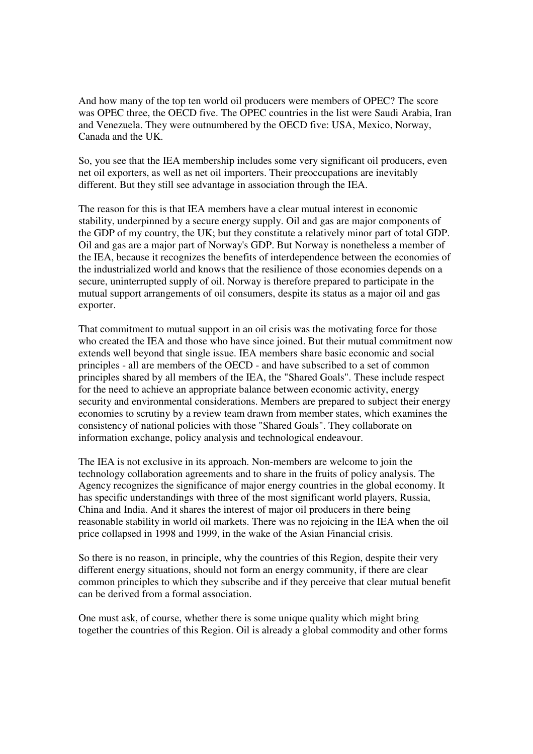And how many of the top ten world oil producers were members of OPEC? The score was OPEC three, the OECD five. The OPEC countries in the list were Saudi Arabia, Iran and Venezuela. They were outnumbered by the OECD five: USA, Mexico, Norway, Canada and the UK.

So, you see that the IEA membership includes some very significant oil producers, even net oil exporters, as well as net oil importers. Their preoccupations are inevitably different. But they still see advantage in association through the IEA.

The reason for this is that IEA members have a clear mutual interest in economic stability, underpinned by a secure energy supply. Oil and gas are major components of the GDP of my country, the UK; but they constitute a relatively minor part of total GDP. Oil and gas are a major part of Norway's GDP. But Norway is nonetheless a member of the IEA, because it recognizes the benefits of interdependence between the economies of the industrialized world and knows that the resilience of those economies depends on a secure, uninterrupted supply of oil. Norway is therefore prepared to participate in the mutual support arrangements of oil consumers, despite its status as a major oil and gas exporter.

That commitment to mutual support in an oil crisis was the motivating force for those who created the IEA and those who have since joined. But their mutual commitment now extends well beyond that single issue. IEA members share basic economic and social principles - all are members of the OECD - and have subscribed to a set of common principles shared by all members of the IEA, the "Shared Goals". These include respect for the need to achieve an appropriate balance between economic activity, energy security and environmental considerations. Members are prepared to subject their energy economies to scrutiny by a review team drawn from member states, which examines the consistency of national policies with those "Shared Goals". They collaborate on information exchange, policy analysis and technological endeavour.

The IEA is not exclusive in its approach. Non-members are welcome to join the technology collaboration agreements and to share in the fruits of policy analysis. The Agency recognizes the significance of major energy countries in the global economy. It has specific understandings with three of the most significant world players, Russia, China and India. And it shares the interest of major oil producers in there being reasonable stability in world oil markets. There was no rejoicing in the IEA when the oil price collapsed in 1998 and 1999, in the wake of the Asian Financial crisis.

So there is no reason, in principle, why the countries of this Region, despite their very different energy situations, should not form an energy community, if there are clear common principles to which they subscribe and if they perceive that clear mutual benefit can be derived from a formal association.

One must ask, of course, whether there is some unique quality which might bring together the countries of this Region. Oil is already a global commodity and other forms